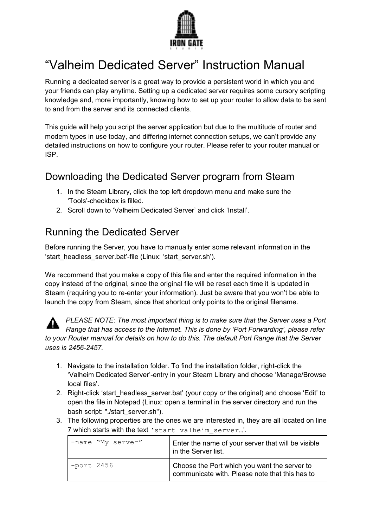

# "Valheim Dedicated Server" Instruction Manual

Running a dedicated server is a great way to provide a persistent world in which you and your friends can play anytime. Setting up a dedicated server requires some cursory scripting knowledge and, more importantly, knowing how to set up your router to allow data to be sent to and from the server and its connected clients.

This guide will help you script the server application but due to the multitude of router and modem types in use today, and differing internet connection setups, we can't provide any detailed instructions on how to configure your router. Please refer to your router manual or ISP.

# Downloading the Dedicated Server program from Steam

- 1. In the Steam Library, click the top left dropdown menu and make sure the 'Tools'-checkbox is filled.
- 2. Scroll down to 'Valheim Dedicated Server' and click 'Install'.

### Running the Dedicated Server

Before running the Server, you have to manually enter some relevant information in the 'start headless server.bat'-file (Linux: 'start server.sh').

We recommend that you make a copy of this file and enter the required information in the copy instead of the original, since the original file will be reset each time it is updated in Steam (requiring you to re-enter your information). Just be aware that you won't be able to launch the copy from Steam, since that shortcut only points to the original filename.



*PLEASE NOTE: The most important thing is to make sure that the Server uses a Port Range that has access to the Internet. This is done by 'Port Forwarding', please refer to your Router manual for details on how to do this. The default Port Range that the Server uses is 2456-2457.*

- 1. Navigate to the installation folder. To find the installation folder, right-click the 'Valheim Dedicated Server'-entry in your Steam Library and choose 'Manage/Browse local files'.
- 2. Right-click 'start\_headless\_server.bat' (your copy *or* the original) and choose 'Edit' to open the file in Notepad (Linux: open a terminal in the server directory and run the bash script: "./start\_server.sh").
- 3. The following properties are the ones we are interested in, they are all located on line 7 which starts with the text 'start valheim server...'.

| -name "My server" | Enter the name of your server that will be visible<br>I in the Server list.                    |
|-------------------|------------------------------------------------------------------------------------------------|
| -port 2456        | Choose the Port which you want the server to<br>communicate with. Please note that this has to |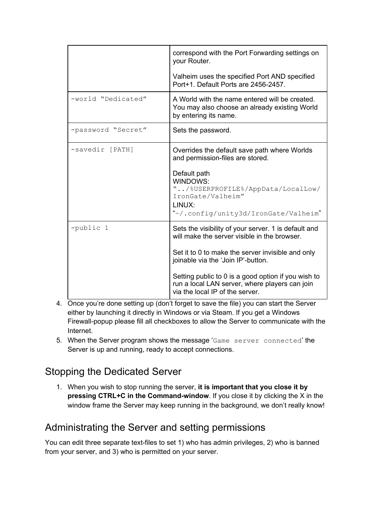|                    | correspond with the Port Forwarding settings on<br>your Router.                                                                                                                         |
|--------------------|-----------------------------------------------------------------------------------------------------------------------------------------------------------------------------------------|
|                    | Valheim uses the specified Port AND specified<br>Port+1. Default Ports are 2456-2457.                                                                                                   |
| -world "Dedicated" | A World with the name entered will be created.<br>You may also choose an already existing World<br>by entering its name.                                                                |
| -password "Secret" | Sets the password.                                                                                                                                                                      |
| -savedir [PATH]    | Overrides the default save path where Worlds<br>and permission-files are stored.<br>Default path<br><b>WINDOWS:</b><br>"/%USERPROFILE%/AppData/LocalLow/<br>IronGate/Valheim"<br>LINUX: |
|                    | "~/.config/unity3d/IronGate/Valheim"                                                                                                                                                    |
| -public 1          | Sets the visibility of your server. 1 is default and<br>will make the server visible in the browser.                                                                                    |
|                    | Set it to 0 to make the server invisible and only<br>joinable via the 'Join IP'-button.                                                                                                 |
|                    | Setting public to 0 is a good option if you wish to<br>run a local LAN server, where players can join<br>via the local IP of the server.                                                |

- 4. Once you're done setting up (don't forget to save the file) you can start the Server either by launching it directly in Windows or via Steam. If you get a Windows Firewall-popup please fill all checkboxes to allow the Server to communicate with the Internet.
- 5. When the Server program shows the message 'Game server connected' the Server is up and running, ready to accept connections.

# Stopping the Dedicated Server

1. When you wish to stop running the server, **it is important that you close it by pressing CTRL+C in the Command-window**. If you close it by clicking the X in the window frame the Server may keep running in the background, we don't really know!

# Administrating the Server and setting permissions

You can edit three separate text-files to set 1) who has admin privileges, 2) who is banned from your server, and 3) who is permitted on your server.